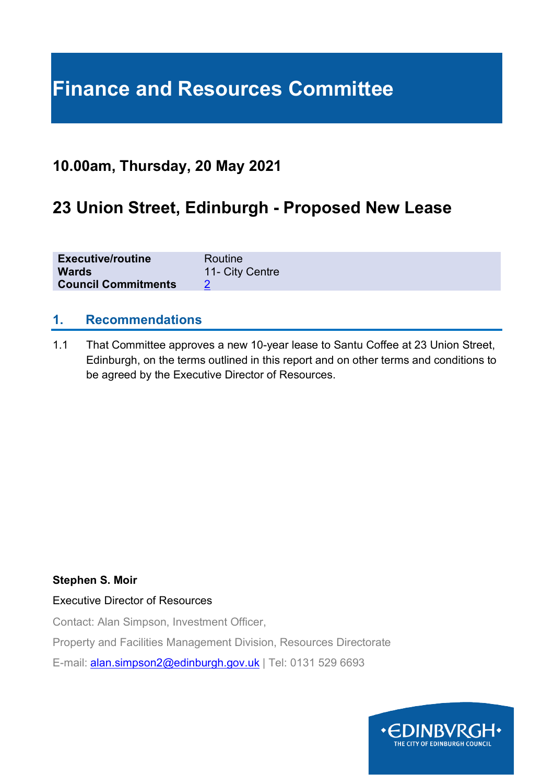# **Finance and Resources Committee**

# **10.00am, Thursday, 20 May 2021**

# **23 Union Street, Edinburgh - Proposed New Lease**

| <b>Executive/routine</b>   | Routine         |
|----------------------------|-----------------|
| <b>Wards</b>               | 11- City Centre |
| <b>Council Commitments</b> |                 |

### **1. Recommendations**

1.1 That Committee approves a new 10-year lease to Santu Coffee at 23 Union Street, Edinburgh, on the terms outlined in this report and on other terms and conditions to be agreed by the Executive Director of Resources.

#### **Stephen S. Moir**

#### Executive Director of Resources

Contact: Alan Simpson, Investment Officer,

Property and Facilities Management Division, Resources Directorate

E-mail: [alan.simpson2@edinburgh.gov.uk](mailto:alan.simpson2@edinburgh.gov.uk) | Tel: 0131 529 6693

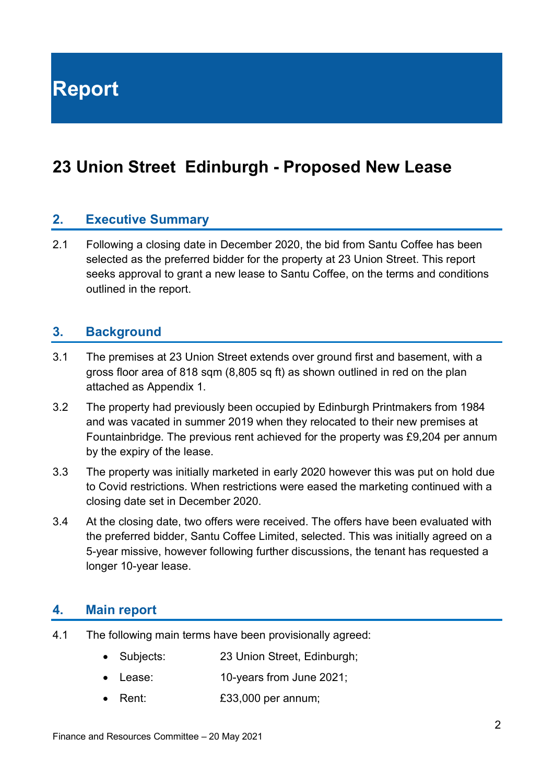**Report**

# **23 Union Street Edinburgh - Proposed New Lease**

#### **2. Executive Summary**

2.1 Following a closing date in December 2020, the bid from Santu Coffee has been selected as the preferred bidder for the property at 23 Union Street. This report seeks approval to grant a new lease to Santu Coffee, on the terms and conditions outlined in the report.

#### **3. Background**

- 3.1 The premises at 23 Union Street extends over ground first and basement, with a gross floor area of 818 sqm (8,805 sq ft) as shown outlined in red on the plan attached as Appendix 1.
- 3.2 The property had previously been occupied by Edinburgh Printmakers from 1984 and was vacated in summer 2019 when they relocated to their new premises at Fountainbridge. The previous rent achieved for the property was £9,204 per annum by the expiry of the lease.
- 3.3 The property was initially marketed in early 2020 however this was put on hold due to Covid restrictions. When restrictions were eased the marketing continued with a closing date set in December 2020.
- 3.4 At the closing date, two offers were received. The offers have been evaluated with the preferred bidder, Santu Coffee Limited, selected. This was initially agreed on a 5-year missive, however following further discussions, the tenant has requested a longer 10-year lease.

#### **4. Main report**

- 4.1 The following main terms have been provisionally agreed:
	- Subjects: 23 Union Street, Edinburgh;
	- Lease: 10-years from June 2021;
	- Rent: £33,000 per annum;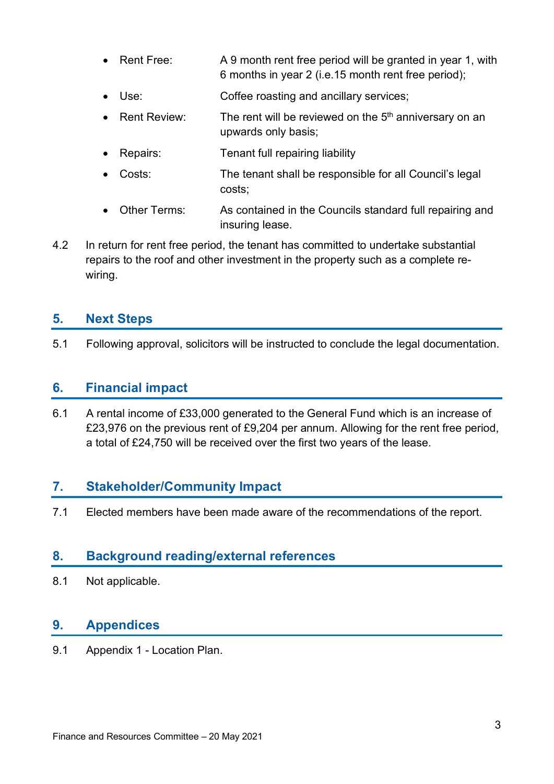- Rent Free: A 9 month rent free period will be granted in year 1, with 6 months in year 2 (i.e.15 month rent free period);
- Use: Coffee roasting and ancillary services;
- Rent Review: The rent will be reviewed on the  $5<sup>th</sup>$  anniversary on an upwards only basis;
- Repairs: Tenant full repairing liability
- Costs: The tenant shall be responsible for all Council's legal costs;
- Other Terms: As contained in the Councils standard full repairing and insuring lease.
- 4.2 In return for rent free period, the tenant has committed to undertake substantial repairs to the roof and other investment in the property such as a complete rewiring.

# **5. Next Steps**

5.1 Following approval, solicitors will be instructed to conclude the legal documentation.

# **6. Financial impact**

6.1 A rental income of £33,000 generated to the General Fund which is an increase of £23,976 on the previous rent of £9,204 per annum. Allowing for the rent free period, a total of £24,750 will be received over the first two years of the lease.

### **7. Stakeholder/Community Impact**

7.1 Elected members have been made aware of the recommendations of the report.

### **8. Background reading/external references**

8.1 Not applicable.

#### **9. Appendices**

9.1 Appendix 1 - Location Plan.